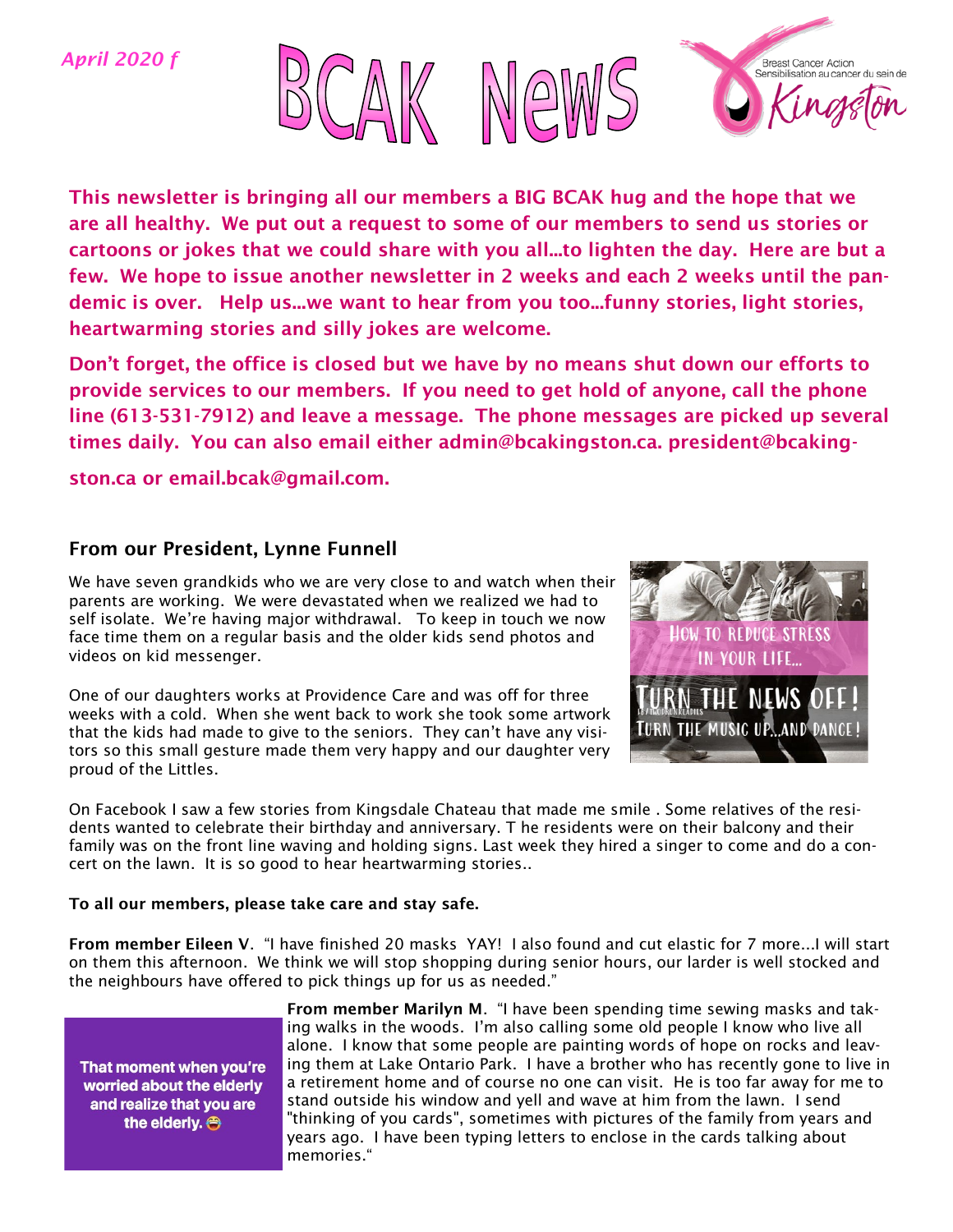

This newsletter is bringing all our members a BIG BCAK hug and the hope that we are all healthy. We put out a request to some of our members to send us stories or cartoons or jokes that we could share with you all...to lighten the day. Here are but a few. We hope to issue another newsletter in 2 weeks and each 2 weeks until the pandemic is over. Help us...we want to hear from you too...funny stories, light stories, heartwarming stories and silly jokes are welcome.

Don't forget, the office is closed but we have by no means shut down our efforts to provide services to our members. If you need to get hold of anyone, call the phone line (613-531-7912) and leave a message. The phone messages are picked up several times daily. You can also email either admin@bcakingston.ca. president@bcaking-

ston.ca or email.bcak@gmail.com.

#### From our President, Lynne Funnell

We have seven grandkids who we are very close to and watch when their parents are working. We were devastated when we realized we had to self isolate. We're having major withdrawal. To keep in touch we now face time them on a regular basis and the older kids send photos and videos on kid messenger.

One of our daughters works at Providence Care and was off for three weeks with a cold. When she went back to work she took some artwork that the kids had made to give to the seniors. They can't have any visitors so this small gesture made them very happy and our daughter very proud of the Littles.



On Facebook I saw a few stories from Kingsdale Chateau that made me smile . Some relatives of the residents wanted to celebrate their birthday and anniversary. T he residents were on their balcony and their family was on the front line waving and holding signs. Last week they hired a singer to come and do a concert on the lawn. It is so good to hear heartwarming stories..

#### To all our members, please take care and stay safe.

From member Eileen V. "I have finished 20 masks YAY! I also found and cut elastic for 7 more...I will start on them this afternoon. We think we will stop shopping during senior hours, our larder is well stocked and the neighbours have offered to pick things up for us as needed."

That moment when you're worried about the elderly and realize that you are the elderly.  $\bigoplus$ 

From member Marilyn M. "I have been spending time sewing masks and taking walks in the woods. I'm also calling some old people I know who live all alone. I know that some people are painting words of hope on rocks and leaving them at Lake Ontario Park. I have a brother who has recently gone to live in a retirement home and of course no one can visit. He is too far away for me to stand outside his window and yell and wave at him from the lawn. I send "thinking of you cards", sometimes with pictures of the family from years and years ago. I have been typing letters to enclose in the cards talking about memories."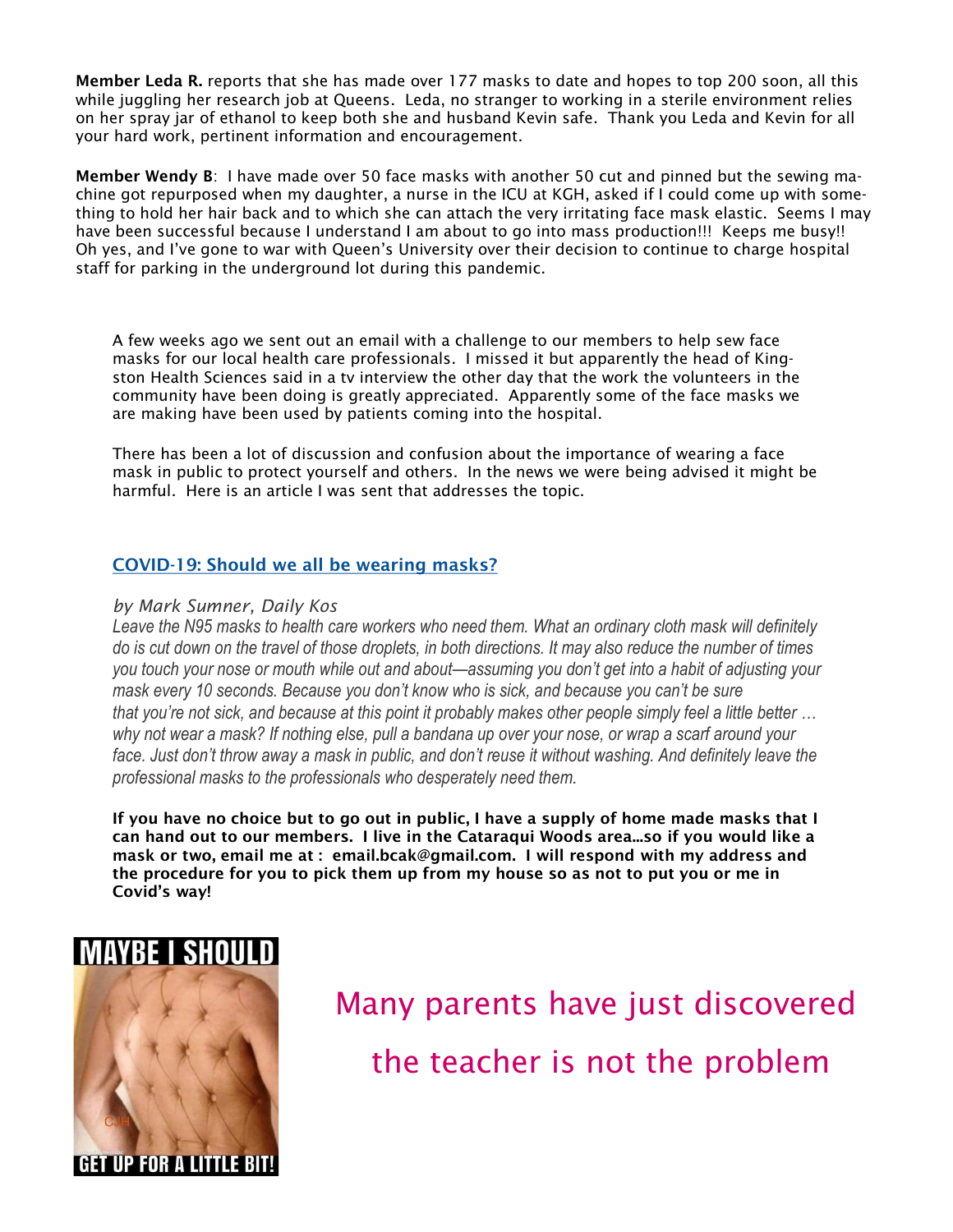Member Leda R. reports that she has made over 177 masks to date and hopes to top 200 soon, all this while juggling her research job at Queens. Leda, no stranger to working in a sterile environment relies on her spray jar of ethanol to keep both she and husband Kevin safe. Thank you Leda and Kevin for all your hard work, pertinent information and encouragement.

Member Wendy B: I have made over 50 face masks with another 50 cut and pinned but the sewing machine got repurposed when my daughter, a nurse in the ICU at KGH, asked if I could come up with something to hold her hair back and to which she can attach the very irritating face mask elastic. Seems I may have been successful because I understand I am about to go into mass production!!! Keeps me busy!! Oh yes, and I've gone to war with Queen's University over their decision to continue to charge hospital staff for parking in the underground lot during this pandemic.

A few weeks ago we sent out an email with a challenge to our members to help sew face masks for our local health care professionals. I missed it but apparently the head of Kingston Health Sciences said in a tv interview the other day that the work the volunteers in the community have been doing is greatly appreciated. Apparently some of the face masks we are making have been used by patients coming into the hospital.

There has been a lot of discussion and confusion about the importance of wearing a face mask in public to protect yourself and others. In the news we were being advised it might be harmful. Here is an article I was sent that addresses the topic.

#### [COVID-19: Should we all be wearing masks?](https://can01.safelinks.protection.outlook.com/?url=https%3A%2F%2Fu1584542.ct.sendgrid.net%2Fmps2%2Fc%2F1AA%2Fni0YAA%2Ft.30l%2FJjBmYmuETeSOW_RBsSbFAQ%2Fh24%2F8HtxoXUPdrEQnOlv5SQseMTWxESzvJCeeOm23-2BD7TsiSYKar6ptfcbwdy9iqaplErzBqurwUtMjmyj8QV-2FpkV3cjrwIHnWtyn)

#### *by Mark Sumner, Daily Kos*

*Leave the N95 masks to health care workers who need them. What an ordinary cloth mask will definitely do is cut down on the travel of those droplets, in both directions. It may also reduce the number of times you touch your nose or mouth while out and about—assuming you don't get into a habit of adjusting your mask every 10 seconds. Because you don't know who is sick, and because you can't be sure that you're not sick, and because at this point it probably makes other people simply feel a little better … why not wear a mask? If nothing else, pull a bandana up over your nose, or wrap a scarf around your face. Just don't throw away a mask in public, and don't reuse it without washing. And definitely leave the professional masks to the professionals who desperately need them.*

If you have no choice but to go out in public, I have a supply of home made masks that I can hand out to our members. I live in the Cataraqui Woods area...so if you would like a mask or two, email me at : email.bcak@gmail.com. I will respond with my address and the procedure for you to pick them up from my house so as not to put you or me in Covid's way!

# **MAYBE I SHOULD**



# Many parents have just discovered the teacher is not the problem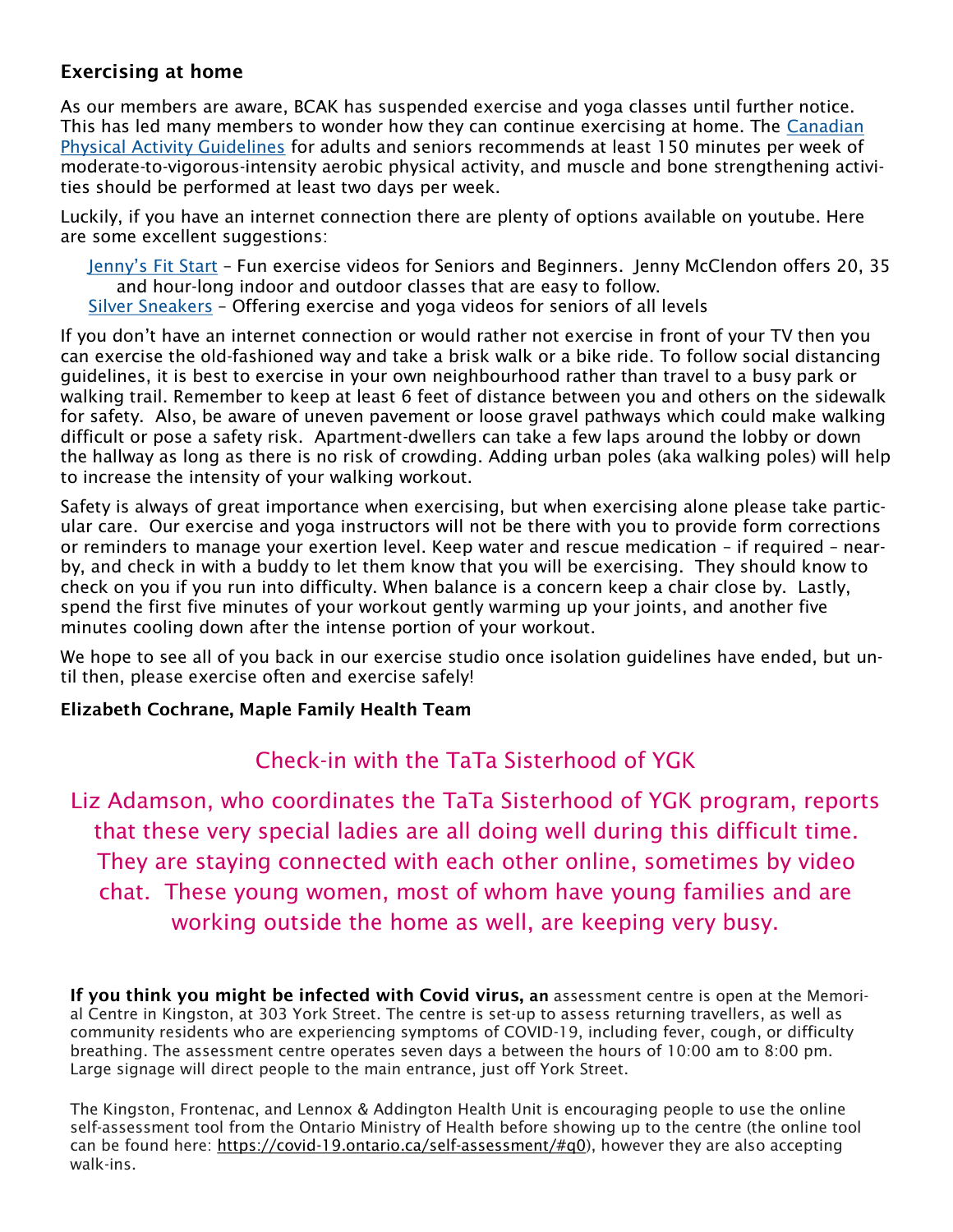#### Exercising at home

As our members are aware, BCAK has suspended exercise and yoga classes until further notice. This has led many members to wonder how they can continue exercising at home. The [Canadian](https://www.csep.ca/CMFiles/Guidelines/CSEP_PAGuidelines_older-adults_en.pdf)  [Physical Activity Guidelines](https://www.csep.ca/CMFiles/Guidelines/CSEP_PAGuidelines_older-adults_en.pdf) for adults and seniors recommends at least 150 minutes per week of moderate-to-vigorous-intensity aerobic physical activity, and muscle and bone strengthening activities should be performed at least two days per week.

Luckily, if you have an internet connection there are plenty of options available on youtube. Here are some excellent suggestions:

[Jenny's Fit Start](https://www.youtube.com/channel/UCHufaoaq1VqjHvnv8zvg9pQ) – Fun exercise videos for Seniors and Beginners. Jenny McClendon offers 20, 35 and hour-long indoor and outdoor classes that are easy to follow.

[Silver Sneakers](https://www.youtube.com/user/TheSilverSneakers) – Offering exercise and yoga videos for seniors of all levels

If you don't have an internet connection or would rather not exercise in front of your TV then you can exercise the old-fashioned way and take a brisk walk or a bike ride. To follow social distancing guidelines, it is best to exercise in your own neighbourhood rather than travel to a busy park or walking trail. Remember to keep at least 6 feet of distance between you and others on the sidewalk for safety. Also, be aware of uneven pavement or loose gravel pathways which could make walking difficult or pose a safety risk. Apartment-dwellers can take a few laps around the lobby or down the hallway as long as there is no risk of crowding. Adding urban poles (aka walking poles) will help to increase the intensity of your walking workout.

Safety is always of great importance when exercising, but when exercising alone please take particular care. Our exercise and yoga instructors will not be there with you to provide form corrections or reminders to manage your exertion level. Keep water and rescue medication – if required – nearby, and check in with a buddy to let them know that you will be exercising. They should know to check on you if you run into difficulty. When balance is a concern keep a chair close by. Lastly, spend the first five minutes of your workout gently warming up your joints, and another five minutes cooling down after the intense portion of your workout.

We hope to see all of you back in our exercise studio once isolation guidelines have ended, but until then, please exercise often and exercise safely!

#### Elizabeth Cochrane, Maple Family Health Team

## Check-in with the TaTa Sisterhood of YGK

Liz Adamson, who coordinates the TaTa Sisterhood of YGK program, reports that these very special ladies are all doing well during this difficult time. They are staying connected with each other online, sometimes by video chat. These young women, most of whom have young families and are working outside the home as well, are keeping very busy.

If you think you might be infected with Covid virus, an assessment centre is open at the Memorial Centre in Kingston, at 303 York Street. The centre is set-up to assess returning travellers, as well as community residents who are experiencing symptoms of COVID-19, including fever, cough, or difficulty breathing. The assessment centre operates seven days a between the hours of 10:00 am to 8:00 pm. Large signage will direct people to the main entrance, just off York Street.

The Kingston, Frontenac, and Lennox & Addington Health Unit is encouraging people to use the online self-assessment tool from the Ontario Ministry of Health before showing up to the centre (the online tool can be found here: [https://covid-19.ontario.ca/self-assessment/#q0\),](https://can01.safelinks.protection.outlook.com/?url=https%3A%2F%2Fcovid-19.ontario.ca%2Fself-assessment%2F%23q0&data=02%7C01%7Craptisl%40queensu.ca%7C2a919c25dfe646519fa508d7d5b4c373%7Cd61ecb3b38b142d582c4efb2838b925c%7C1%7C0%7C637212844693282739&sdata=P9ypj4) however they are also accepting walk-ins.